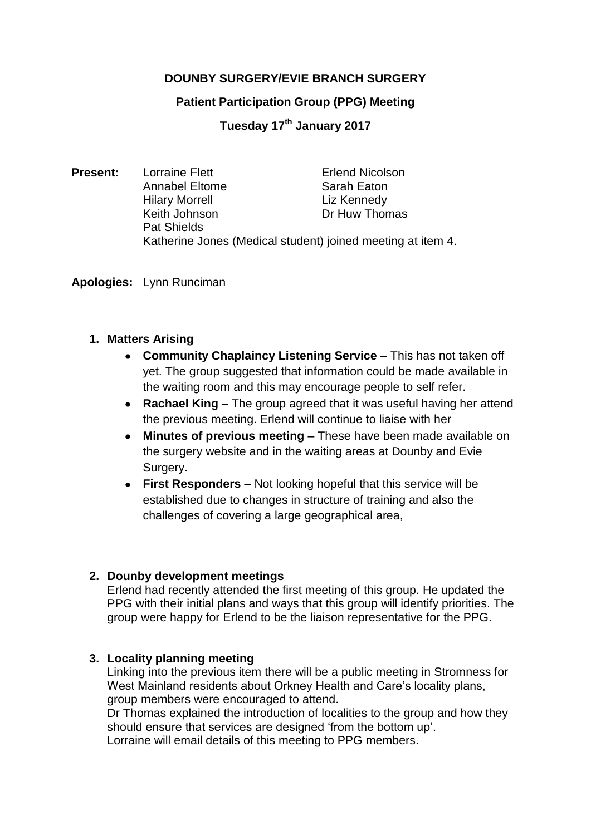# **DOUNBY SURGERY/EVIE BRANCH SURGERY**

## **Patient Participation Group (PPG) Meeting**

**Tuesday 17th January 2017**

**Present:** Lorraine Flett **Exercise Erlend Nicolson** Annabel Eltome Sarah Eaton Hilary Morrell **Liz Kennedy** Keith Johnson **Dr Huw Thomas** Pat Shields Katherine Jones (Medical student) joined meeting at item 4.

**Apologies:** Lynn Runciman

## **1. Matters Arising**

- **Community Chaplaincy Listening Service –** This has not taken off yet. The group suggested that information could be made available in the waiting room and this may encourage people to self refer.
- **Rachael King –** The group agreed that it was useful having her attend the previous meeting. Erlend will continue to liaise with her
- **Minutes of previous meeting –** These have been made available on the surgery website and in the waiting areas at Dounby and Evie Surgery.
- **First Responders –** Not looking hopeful that this service will be established due to changes in structure of training and also the challenges of covering a large geographical area,

# **2. Dounby development meetings**

Erlend had recently attended the first meeting of this group. He updated the PPG with their initial plans and ways that this group will identify priorities. The group were happy for Erlend to be the liaison representative for the PPG.

# **3. Locality planning meeting**

Linking into the previous item there will be a public meeting in Stromness for West Mainland residents about Orkney Health and Care's locality plans, group members were encouraged to attend.

Dr Thomas explained the introduction of localities to the group and how they should ensure that services are designed 'from the bottom up'. Lorraine will email details of this meeting to PPG members.